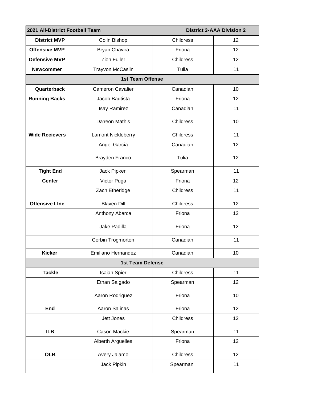| 2021 All-District Football Team |                         | <b>District 3-AAA Division 2</b> |                 |  |  |  |
|---------------------------------|-------------------------|----------------------------------|-----------------|--|--|--|
| <b>District MVP</b>             | Colin Bishop            | Childress                        | 12              |  |  |  |
| <b>Offensive MVP</b>            | Bryan Chavira           | Friona                           | 12 <sub>2</sub> |  |  |  |
| <b>Defensive MVP</b>            | <b>Zion Fuller</b>      | Childress                        | 12              |  |  |  |
| <b>Newcommer</b>                | Trayvon McCaslin        | Tulia                            | 11              |  |  |  |
| <b>1st Team Offense</b>         |                         |                                  |                 |  |  |  |
| Quarterback                     | <b>Cameron Cavalier</b> | Canadian                         | 10              |  |  |  |
| <b>Running Backs</b>            | Jacob Bautista          | Friona                           | 12 <sub>2</sub> |  |  |  |
|                                 | Isay Ramirez            | Canadian                         | 11              |  |  |  |
|                                 | Da'reon Mathis          | Childress                        | 10              |  |  |  |
| <b>Wide Recievers</b>           | Lamont Nickleberry      | Childress                        | 11              |  |  |  |
|                                 | Angel Garcia            | Canadian                         | 12              |  |  |  |
|                                 | Brayden Franco          | Tulia                            | 12              |  |  |  |
| <b>Tight End</b>                | Jack Pipken             | Spearman                         | 11              |  |  |  |
| <b>Center</b>                   | Victor Puga             | Friona                           | 12 <sup>2</sup> |  |  |  |
|                                 | Zach Etheridge          | Childress                        | 11              |  |  |  |
| <b>Offensive Line</b>           | <b>Blaven Dill</b>      | Childress                        | 12              |  |  |  |
|                                 | Anthony Abarca          | Friona                           | 12              |  |  |  |
|                                 | Jake Padilla            | Friona                           | 12              |  |  |  |
|                                 | Corbin Trogmorton       | Canadian                         | 11              |  |  |  |
| <b>Kicker</b>                   | Emiliano Hernandez      | Canadian                         | 10              |  |  |  |
|                                 | <b>1st Team Defense</b> |                                  |                 |  |  |  |
| <b>Tackle</b>                   | <b>Isaiah Spier</b>     | Childress                        | 11              |  |  |  |
|                                 | Ethan Salgado           | Spearman                         | 12 <sub>2</sub> |  |  |  |
|                                 | Aaron Rodriguez         | Friona                           | 10              |  |  |  |
| End                             | Aaron Salinas           | Friona                           | 12              |  |  |  |
|                                 | Jett Jones              | Childress                        | 12              |  |  |  |
| <b>ILB</b>                      | Cason Mackie            | Spearman                         | 11              |  |  |  |
|                                 | Alberth Arguelles       | Friona                           | 12              |  |  |  |
| <b>OLB</b>                      | Avery Jalamo            | Childress                        | 12              |  |  |  |
|                                 | Jack Pipkin             | Spearman                         | 11              |  |  |  |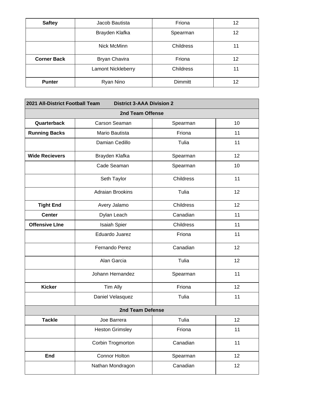| <b>Saftey</b>      | Jacob Bautista            | Friona    | 12 |
|--------------------|---------------------------|-----------|----|
|                    | Brayden Klafka            | Spearman  | 12 |
|                    | Nick McMinn               | Childress | 11 |
| <b>Corner Back</b> | <b>Bryan Chavira</b>      | Friona    | 12 |
|                    | <b>Lamont Nickleberry</b> | Childress | 11 |
| <b>Punter</b>      | Ryan Nino                 | Dimmitt   | 12 |

| 2021 All-District Football Team<br><b>District 3-AAA Division 2</b> |                         |           |    |  |  |  |
|---------------------------------------------------------------------|-------------------------|-----------|----|--|--|--|
| 2nd Team Offense                                                    |                         |           |    |  |  |  |
| Quarterback                                                         | Carson Seaman           | Spearman  | 10 |  |  |  |
| <b>Running Backs</b>                                                | Mario Bautista          | Friona    | 11 |  |  |  |
|                                                                     | Damian Cedillo          | Tulia     | 11 |  |  |  |
| <b>Wide Recievers</b>                                               | Brayden Klafka          | Spearman  | 12 |  |  |  |
|                                                                     | Cade Seaman             | Spearman  | 10 |  |  |  |
|                                                                     | Seth Taylor             | Childress | 11 |  |  |  |
|                                                                     | <b>Adraian Brookins</b> | Tulia     | 12 |  |  |  |
| <b>Tight End</b>                                                    | Avery Jalamo            | Childress | 12 |  |  |  |
| <b>Center</b>                                                       | Dylan Leach             | Canadian  | 11 |  |  |  |
| <b>Offensive Line</b>                                               | <b>Isaiah Spier</b>     | Childress | 11 |  |  |  |
|                                                                     | Eduardo Juarez          | Friona    | 11 |  |  |  |
|                                                                     | Fernando Perez          | Canadian  | 12 |  |  |  |
|                                                                     | Alan Garcia             | Tulia     | 12 |  |  |  |
|                                                                     | Johann Hernandez        | Spearman  | 11 |  |  |  |
| <b>Kicker</b>                                                       | Tim Ally                | Friona    | 12 |  |  |  |
|                                                                     | Daniel Velasquez        | Tulia     | 11 |  |  |  |
| 2nd Team Defense                                                    |                         |           |    |  |  |  |
| <b>Tackle</b>                                                       | Joe Barrera             | Tulia     | 12 |  |  |  |
|                                                                     | <b>Heston Grimsley</b>  | Friona    | 11 |  |  |  |
|                                                                     | Corbin Trogmorton       | Canadian  | 11 |  |  |  |
| End                                                                 | <b>Connor Holton</b>    | Spearman  | 12 |  |  |  |
|                                                                     | Nathan Mondragon        | Canadian  | 12 |  |  |  |